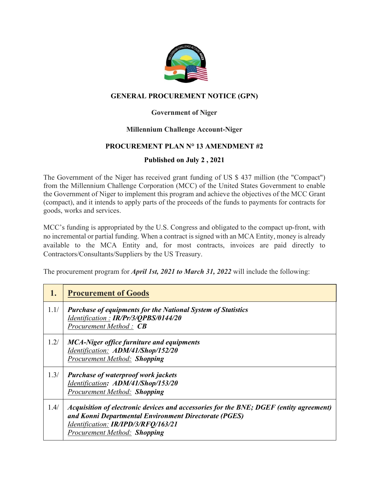

# **GENERAL PROCUREMENT NOTICE (GPN)**

# **Government of Niger**

## **Millennium Challenge Account-Niger**

# **PROCUREMENT PLAN N° 13 AMENDMENT #2**

# **Published on July 2 , 2021**

The Government of the Niger has received grant funding of US \$ 437 million (the "Compact") from the Millennium Challenge Corporation (MCC) of the United States Government to enable the Government of Niger to implement this program and achieve the objectives of the MCC Grant (compact), and it intends to apply parts of the proceeds of the funds to payments for contracts for goods, works and services.

MCC's funding is appropriated by the U.S. Congress and obligated to the compact up-front, with no incremental or partial funding. When a contract is signed with an MCA Entity, money is already available to the MCA Entity and, for most contracts, invoices are paid directly to Contractors/Consultants/Suppliers by the US Treasury.

The procurement program for *April 1st, 2021 to March 31, 2022* will include the following:

| 1.   | <b>Procurement of Goods</b>                                                                                                                                                                                                   |
|------|-------------------------------------------------------------------------------------------------------------------------------------------------------------------------------------------------------------------------------|
| 1.1/ | <b>Purchase of equipments for the National System of Statistics</b><br>Identification: IR/Pr/3/QPBS/0144/20<br>Procurement Method: CB                                                                                         |
| 1.2/ | <b>MCA-Niger office furniture and equipments</b><br>Identification: ADM/41/Shop/152/20<br><b>Procurement Method: Shopping</b>                                                                                                 |
| 1.3/ | <b>Purchase of waterproof work jackets</b><br>Identification: ADM/41/Shop/153/20<br><b>Procurement Method: Shopping</b>                                                                                                       |
| 1.4/ | Acquisition of electronic devices and accessories for the BNE; DGEF (entity agreement)<br>and Konni Departmental Environment Directorate (PGES)<br>Identification: IR/IPD/3/RFQ/163/21<br><b>Procurement Method: Shopping</b> |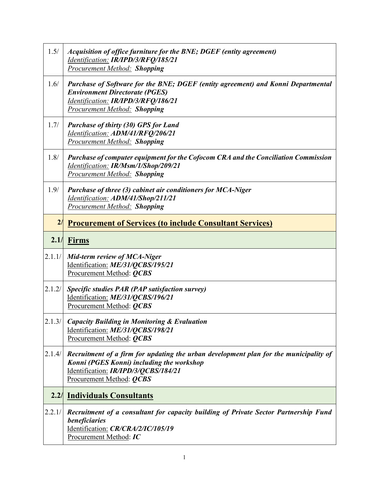| 1.5/   | Acquisition of office furniture for the BNE; DGEF (entity agreement)<br>Identification: IR/IPD/3/RFQ/185/21<br><b>Procurement Method: Shopping</b>                                                      |  |
|--------|---------------------------------------------------------------------------------------------------------------------------------------------------------------------------------------------------------|--|
| 1.6/   | Purchase of Software for the BNE; DGEF (entity agreement) and Konni Departmental<br><b>Environment Directorate (PGES)</b><br>Identification: IR/IPD/3/RFQ/186/21<br><b>Procurement Method: Shopping</b> |  |
| 1.7/   | <b>Purchase of thirty (30) GPS for Land</b><br>Identification: ADM/41/RFQ/206/21<br><b>Procurement Method: Shopping</b>                                                                                 |  |
| 1.8/   | Purchase of computer equipment for the Cofocom CRA and the Conciliation Commission<br>Identification: IR/Msm/1/Shop/209/21<br><b>Procurement Method: Shopping</b>                                       |  |
| 1.9/   | Purchase of three (3) cabinet air conditioners for MCA-Niger<br>Identification: ADM/41/Shop/211/21<br><b>Procurement Method: Shopping</b>                                                               |  |
|        | 2/<br><b>Procurement of Services (to include Consultant Services)</b>                                                                                                                                   |  |
| 2.1/   | <b>Firms</b>                                                                                                                                                                                            |  |
| 2.1.1/ | Mid-term review of MCA-Niger<br>Identification: ME/31/QCBS/195/21<br>Procurement Method: <i>QCBS</i>                                                                                                    |  |
| 2.1.2/ | Specific studies PAR (PAP satisfaction survey)<br>Identification: ME/31/QCBS/196/21<br>Procurement Method: QCBS                                                                                         |  |
| 2.1.3/ | <b>Capacity Building in Monitoring &amp; Evaluation</b><br>Identification: ME/31/QCBS/198/21<br>Procurement Method: QCBS                                                                                |  |
| 2.1.4/ | Recruitment of a firm for updating the urban development plan for the municipality of<br>Konni (PGES Konni) including the workshop<br>Identification: IR/IPD/3/QCBS/184/21<br>Procurement Method: QCBS  |  |
|        | <b>2.2/ Individuals Consultants</b>                                                                                                                                                                     |  |
| 2.2.1/ | Recruitment of a consultant for capacity building of Private Sector Partnership Fund<br>beneficiaries<br>Identification: CR/CRA/2/IC/105/19<br>Procurement Method: IC                                   |  |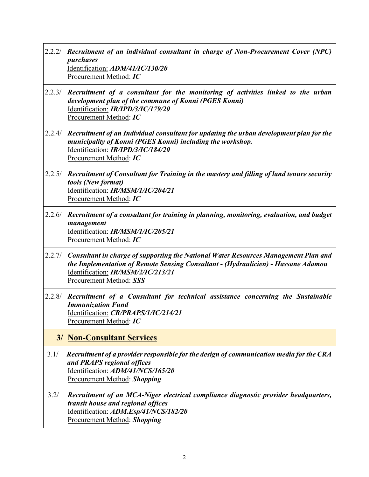| 2.2.2/ | Recruitment of an individual consultant in charge of Non-Procurement Cover (NPC)<br>purchases<br>Identification: ADM/41/IC/130/20<br>Procurement Method: IC                                                                               |
|--------|-------------------------------------------------------------------------------------------------------------------------------------------------------------------------------------------------------------------------------------------|
| 2.2.3/ | Recruitment of a consultant for the monitoring of activities linked to the urban<br>development plan of the commune of Konni (PGES Konni)<br>Identification: IR/IPD/3/IC/179/20<br>Procurement Method: IC                                 |
| 2.2.4/ | Recruitment of an Individual consultant for updating the urban development plan for the<br>municipality of Konni (PGES Konni) including the workshop.<br>Identification: IR/IPD/3/IC/184/20<br>Procurement Method: IC                     |
| 2.2.5/ | Recruitment of Consultant for Training in the mastery and filling of land tenure security<br>tools (New format)<br>Identification: IR/MSM/1/IC/204/21<br>Procurement Method: IC                                                           |
| 2.2.6/ | Recruitment of a consultant for training in planning, monitoring, evaluation, and budget<br>management<br>Identification: IR/MSM/1/IC/205/21<br>Procurement Method: IC                                                                    |
| 2.2.7/ | Consultant in charge of supporting the National Water Resources Management Plan and<br>the Implementation of Remote Sensing Consultant - (Hydraulicien) - Hassane Adamou<br>Identification: IR/MSM/2/IC/213/21<br>Procurement Method: SSS |
| 2.2.8/ | Recruitment of a Consultant for technical assistance concerning the Sustainable<br><b>Immunization Fund</b><br>Identification: <i>CR/PRAPS/1/IC/214/21</i><br>Procurement Method: IC                                                      |
| 3/     | <b>Non-Consultant Services</b>                                                                                                                                                                                                            |
| 3.1/   | Recruitment of a provider responsible for the design of communication media for the CRA<br>and PRAPS regional offices<br>Identification: ADM/41/NCS/165/20<br><b>Procurement Method: Shopping</b>                                         |
| 3.2/   | Recruitment of an MCA-Niger electrical compliance diagnostic provider headquarters,<br>transit house and regional offices<br>Identification: ADM.Esp/41/NCS/182/20<br><b>Procurement Method: Shopping</b>                                 |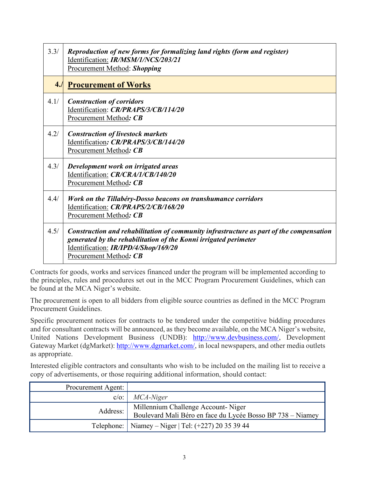| 3.3/ | Reproduction of new forms for formalizing land rights (form and register)<br>Identification: IR/MSM/1/NCS/203/21<br>Procurement Method: Shopping                                                                              |
|------|-------------------------------------------------------------------------------------------------------------------------------------------------------------------------------------------------------------------------------|
| 4.1  | <b>Procurement of Works</b>                                                                                                                                                                                                   |
| 4.1/ | <b>Construction of corridors</b><br>Identification: CR/PRAPS/3/CB/114/20<br>Procurement Method: CB                                                                                                                            |
| 4.2/ | <b>Construction of livestock markets</b><br>Identification: CR/PRAPS/3/CB/144/20<br>Procurement Method: CB                                                                                                                    |
| 4.3/ | Development work on irrigated areas<br>Identification: CR/CRA/1/CB/140/20<br>Procurement Method: CB                                                                                                                           |
| 4.4/ | Work on the Tillabéry-Dosso beacons on transhumance corridors<br>Identification: CR/PRAPS/2/CB/168/20<br>Procurement Method: CB                                                                                               |
| 4.5/ | Construction and rehabilitation of community infrastructure as part of the compensation<br>generated by the rehabilitation of the Konni irrigated perimeter<br>Identification: IR/IPD/4/Shop/169/20<br>Procurement Method: CB |

Contracts for goods, works and services financed under the program will be implemented according to the principles, rules and procedures set out in the MCC Program Procurement Guidelines, which can be found at the MCA Niger's website.

The procurement is open to all bidders from eligible source countries as defined in the MCC Program Procurement Guidelines.

Specific procurement notices for contracts to be tendered under the competitive bidding procedures and for consultant contracts will be announced, as they become available, on the MCA Niger's website, United Nations Development Business (UNDB): [http://www.devbusiness.com/,](http://www.devbusiness.com/) Development Gateway Market (dgMarket): [http://www.dgmarket.com/,](http://www.dgmarket.com/) in local newspapers, and other media outlets as appropriate.

Interested eligible contractors and consultants who wish to be included on the mailing list to receive a copy of advertisements, or those requiring additional information, should contact:

| Procurement Agent: |                                                                                                  |
|--------------------|--------------------------------------------------------------------------------------------------|
|                    | $c/o$ : $MCA-Niger$                                                                              |
| Address:           | Millennium Challenge Account-Niger<br>Boulevard Mali Béro en face du Lycée Bosso BP 738 - Niamey |
|                    | Telephone:   Niamey – Niger   Tel: $(+227)$ 20 35 39 44                                          |